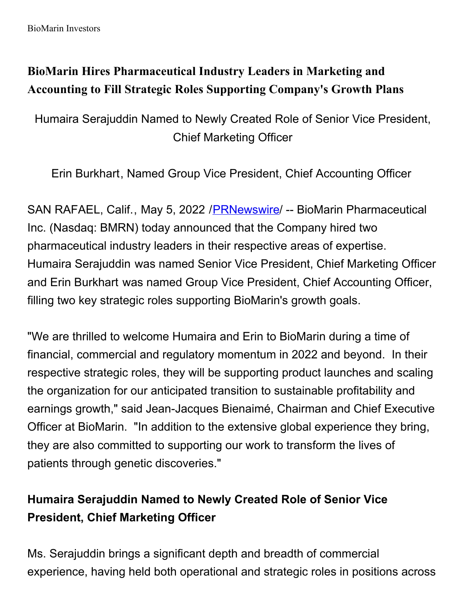# **BioMarin Hires Pharmaceutical Industry Leaders in Marketing and Accounting to Fill Strategic Roles Supporting Company's Growth Plans**

Humaira Serajuddin Named to Newly Created Role of Senior Vice President, Chief Marketing Officer

Erin Burkhart, Named Group Vice President, Chief Accounting Officer

SAN RAFAEL, Calif., May 5, 2022 /[PRNewswire](http://www.prnewswire.com/)/ -- BioMarin Pharmaceutical Inc. (Nasdaq: BMRN) today announced that the Company hired two pharmaceutical industry leaders in their respective areas of expertise. Humaira Serajuddin was named Senior Vice President, Chief Marketing Officer and Erin Burkhart was named Group Vice President, Chief Accounting Officer, filling two key strategic roles supporting BioMarin's growth goals.

"We are thrilled to welcome Humaira and Erin to BioMarin during a time of financial, commercial and regulatory momentum in 2022 and beyond. In their respective strategic roles, they will be supporting product launches and scaling the organization for our anticipated transition to sustainable profitability and earnings growth," said Jean-Jacques Bienaimé, Chairman and Chief Executive Officer at BioMarin. "In addition to the extensive global experience they bring, they are also committed to supporting our work to transform the lives of patients through genetic discoveries."

## **Humaira Serajuddin Named to Newly Created Role of Senior Vice President, Chief Marketing Officer**

Ms. Serajuddin brings a significant depth and breadth of commercial experience, having held both operational and strategic roles in positions across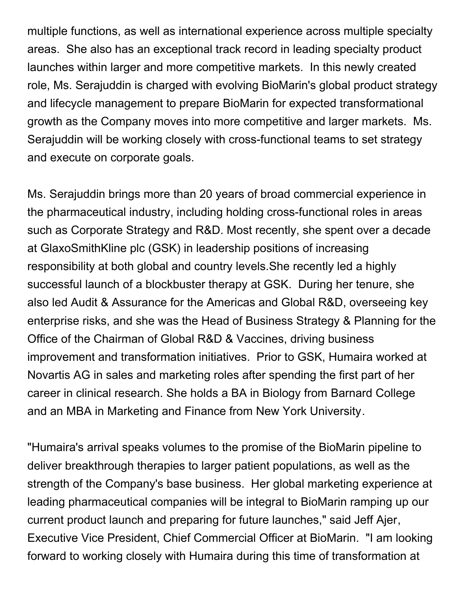multiple functions, as well as international experience across multiple specialty areas. She also has an exceptional track record in leading specialty product launches within larger and more competitive markets. In this newly created role, Ms. Serajuddin is charged with evolving BioMarin's global product strategy and lifecycle management to prepare BioMarin for expected transformational growth as the Company moves into more competitive and larger markets. Ms. Serajuddin will be working closely with cross-functional teams to set strategy and execute on corporate goals.

Ms. Serajuddin brings more than 20 years of broad commercial experience in the pharmaceutical industry, including holding cross-functional roles in areas such as Corporate Strategy and R&D. Most recently, she spent over a decade at GlaxoSmithKline plc (GSK) in leadership positions of increasing responsibility at both global and country levels.She recently led a highly successful launch of a blockbuster therapy at GSK. During her tenure, she also led Audit & Assurance for the Americas and Global R&D, overseeing key enterprise risks, and she was the Head of Business Strategy & Planning for the Office of the Chairman of Global R&D & Vaccines, driving business improvement and transformation initiatives. Prior to GSK, Humaira worked at Novartis AG in sales and marketing roles after spending the first part of her career in clinical research. She holds a BA in Biology from Barnard College and an MBA in Marketing and Finance from New York University.

"Humaira's arrival speaks volumes to the promise of the BioMarin pipeline to deliver breakthrough therapies to larger patient populations, as well as the strength of the Company's base business. Her global marketing experience at leading pharmaceutical companies will be integral to BioMarin ramping up our current product launch and preparing for future launches," said Jeff Ajer, Executive Vice President, Chief Commercial Officer at BioMarin. "I am looking forward to working closely with Humaira during this time of transformation at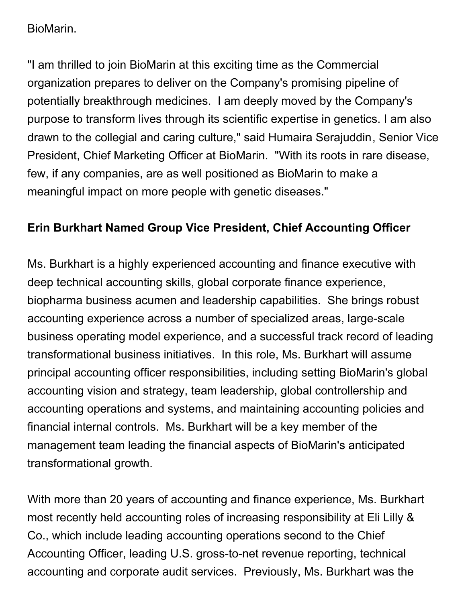#### BioMarin.

"I am thrilled to join BioMarin at this exciting time as the Commercial organization prepares to deliver on the Company's promising pipeline of potentially breakthrough medicines. I am deeply moved by the Company's purpose to transform lives through its scientific expertise in genetics. I am also drawn to the collegial and caring culture," said Humaira Serajuddin, Senior Vice President, Chief Marketing Officer at BioMarin. "With its roots in rare disease, few, if any companies, are as well positioned as BioMarin to make a meaningful impact on more people with genetic diseases."

## **Erin Burkhart Named Group Vice President, Chief Accounting Officer**

Ms. Burkhart is a highly experienced accounting and finance executive with deep technical accounting skills, global corporate finance experience, biopharma business acumen and leadership capabilities. She brings robust accounting experience across a number of specialized areas, large-scale business operating model experience, and a successful track record of leading transformational business initiatives. In this role, Ms. Burkhart will assume principal accounting officer responsibilities, including setting BioMarin's global accounting vision and strategy, team leadership, global controllership and accounting operations and systems, and maintaining accounting policies and financial internal controls. Ms. Burkhart will be a key member of the management team leading the financial aspects of BioMarin's anticipated transformational growth.

With more than 20 years of accounting and finance experience, Ms. Burkhart most recently held accounting roles of increasing responsibility at Eli Lilly & Co., which include leading accounting operations second to the Chief Accounting Officer, leading U.S. gross-to-net revenue reporting, technical accounting and corporate audit services. Previously, Ms. Burkhart was the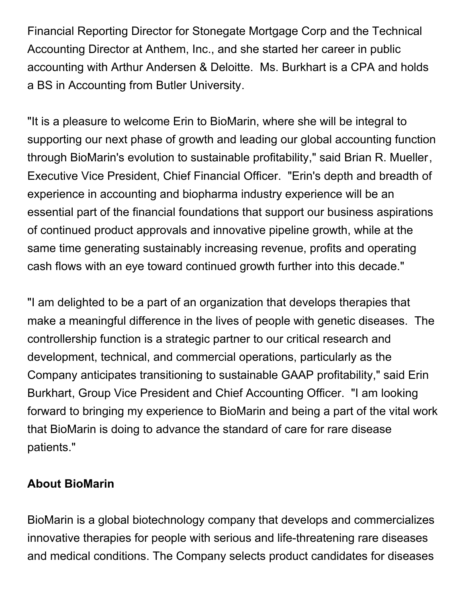Financial Reporting Director for Stonegate Mortgage Corp and the Technical Accounting Director at Anthem, Inc., and she started her career in public accounting with Arthur Andersen & Deloitte. Ms. Burkhart is a CPA and holds a BS in Accounting from Butler University.

"It is a pleasure to welcome Erin to BioMarin, where she will be integral to supporting our next phase of growth and leading our global accounting function through BioMarin's evolution to sustainable profitability," said Brian R. Mueller, Executive Vice President, Chief Financial Officer. "Erin's depth and breadth of experience in accounting and biopharma industry experience will be an essential part of the financial foundations that support our business aspirations of continued product approvals and innovative pipeline growth, while at the same time generating sustainably increasing revenue, profits and operating cash flows with an eye toward continued growth further into this decade."

"I am delighted to be a part of an organization that develops therapies that make a meaningful difference in the lives of people with genetic diseases. The controllership function is a strategic partner to our critical research and development, technical, and commercial operations, particularly as the Company anticipates transitioning to sustainable GAAP profitability," said Erin Burkhart, Group Vice President and Chief Accounting Officer. "I am looking forward to bringing my experience to BioMarin and being a part of the vital work that BioMarin is doing to advance the standard of care for rare disease patients."

### **About BioMarin**

BioMarin is a global biotechnology company that develops and commercializes innovative therapies for people with serious and life-threatening rare diseases and medical conditions. The Company selects product candidates for diseases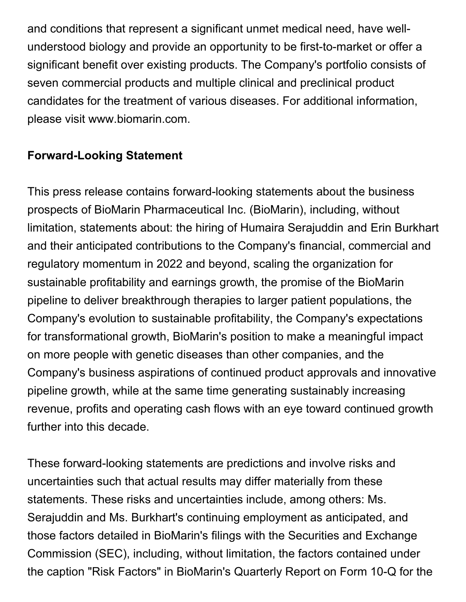and conditions that represent a significant unmet medical need, have wellunderstood biology and provide an opportunity to be first-to-market or offer a significant benefit over existing products. The Company's portfolio consists of seven commercial products and multiple clinical and preclinical product candidates for the treatment of various diseases. For additional information, please visit www.biomarin.com.

## **Forward-Looking Statement**

This press release contains forward-looking statements about the business prospects of BioMarin Pharmaceutical Inc. (BioMarin), including, without limitation, statements about: the hiring of Humaira Serajuddin and Erin Burkhart and their anticipated contributions to the Company's financial, commercial and regulatory momentum in 2022 and beyond, scaling the organization for sustainable profitability and earnings growth, the promise of the BioMarin pipeline to deliver breakthrough therapies to larger patient populations, the Company's evolution to sustainable profitability, the Company's expectations for transformational growth, BioMarin's position to make a meaningful impact on more people with genetic diseases than other companies, and the Company's business aspirations of continued product approvals and innovative pipeline growth, while at the same time generating sustainably increasing revenue, profits and operating cash flows with an eye toward continued growth further into this decade.

These forward-looking statements are predictions and involve risks and uncertainties such that actual results may differ materially from these statements. These risks and uncertainties include, among others: Ms. Serajuddin and Ms. Burkhart's continuing employment as anticipated, and those factors detailed in BioMarin's filings with the Securities and Exchange Commission (SEC), including, without limitation, the factors contained under the caption "Risk Factors" in BioMarin's Quarterly Report on Form 10-Q for the